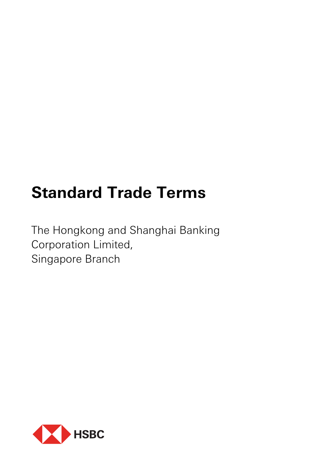# **Standard Trade Terms**

The Hongkong and Shanghai Banking Corporation Limited, Singapore Branch

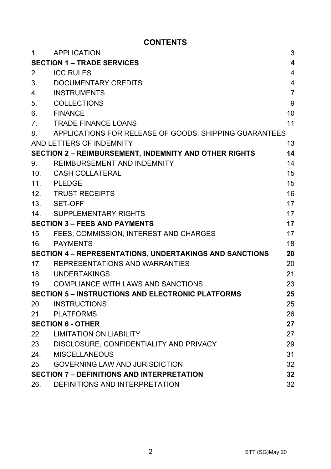# **CONTENTS**

| 1.                                                             | <b>APPLICATION</b>                                           | 3              |
|----------------------------------------------------------------|--------------------------------------------------------------|----------------|
| <b>SECTION 1 - TRADE SERVICES</b><br>4                         |                                                              |                |
| 2.                                                             | <b>ICC RULES</b>                                             | 4              |
| 3.                                                             | DOCUMENTARY CREDITS                                          | $\overline{4}$ |
| 4.                                                             | <b>INSTRUMENTS</b>                                           | $\overline{7}$ |
| 5.                                                             | COLLECTIONS                                                  | 9              |
| 6.                                                             | <b>FINANCE</b>                                               | 10             |
| 7.                                                             | <b>TRADE FINANCE LOANS</b>                                   | 11             |
| 8.                                                             | APPLICATIONS FOR RELEASE OF GOODS, SHIPPING GUARANTEES       |                |
|                                                                | AND LETTERS OF INDEMNITY                                     | 13             |
|                                                                | <b>SECTION 2 - REIMBURSEMENT, INDEMNITY AND OTHER RIGHTS</b> | 14             |
| 9.                                                             | REIMBURSEMENT AND INDEMNITY                                  | 14             |
| 10 <sub>1</sub>                                                | CASH COLLATERAL                                              | 15             |
|                                                                | 11. PLEDGE                                                   | 15             |
|                                                                | 12. TRUST RECEIPTS                                           | 16             |
|                                                                | 13. SET-OFF                                                  | 17             |
|                                                                | 14. SUPPLEMENTARY RIGHTS                                     | 17             |
| <b>SECTION 3 - FEES AND PAYMENTS</b>                           |                                                              | 17             |
| 15.                                                            | FEES. COMMISSION. INTEREST AND CHARGES                       | 17             |
| 16.                                                            | PAYMENTS                                                     | 18             |
| <b>SECTION 4 - REPRESENTATIONS, UNDERTAKINGS AND SANCTIONS</b> |                                                              | 20             |
| 17 <sub>1</sub>                                                | REPRESENTATIONS AND WARRANTIES                               | 20             |
|                                                                | 18. UNDERTAKINGS                                             | 21             |
|                                                                | 19. COMPLIANCE WITH LAWS AND SANCTIONS                       | 23             |
| <b>SECTION 5 - INSTRUCTIONS AND ELECTRONIC PLATFORMS</b><br>25 |                                                              |                |
| 20.                                                            | <b>INSTRUCTIONS</b>                                          | 25             |
| 21.                                                            | PLATFORMS                                                    | 26             |
| <b>SECTION 6 - OTHER</b>                                       |                                                              | 27             |
| 22.                                                            | <b>LIMITATION ON LIABILITY</b>                               | 27             |
|                                                                | 23. DISCLOSURE, CONFIDENTIALITY AND PRIVACY                  | 29             |
| 24.                                                            | <b>MISCELLANEOUS</b>                                         | 31             |
| 25.                                                            | <b>GOVERNING LAW AND JURISDICTION</b>                        | 32             |
| <b>SECTION 7 - DEFINITIONS AND INTERPRETATION</b>              |                                                              | 32             |
| 26.                                                            | DEFINITIONS AND INTERPRETATION                               | 32             |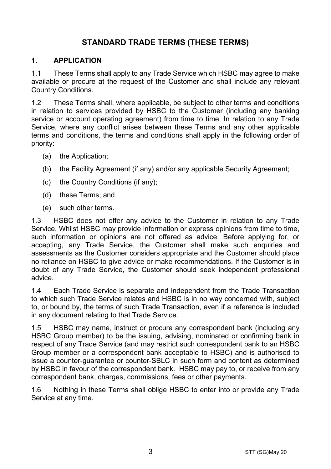# **STANDARD TRADE TERMS (THESE TERMS)**

#### **1. APPLICATION**

1.1 These Terms shall apply to any Trade Service which HSBC may agree to make available or procure at the request of the Customer and shall include any relevant Country Conditions.

1.2 These Terms shall, where applicable, be subject to other terms and conditions in relation to services provided by HSBC to the Customer (including any banking service or account operating agreement) from time to time. In relation to any Trade Service, where any conflict arises between these Terms and any other applicable terms and conditions, the terms and conditions shall apply in the following order of priority:

- (a) the Application;
- (b) the Facility Agreement (if any) and/or any applicable Security Agreement;
- (c) the Country Conditions (if any);
- (d) these Terms; and
- (e) such other terms.

1.3 HSBC does not offer any advice to the Customer in relation to any Trade Service. Whilst HSBC may provide information or express opinions from time to time, such information or opinions are not offered as advice. Before applying for, or accepting, any Trade Service, the Customer shall make such enquiries and assessments as the Customer considers appropriate and the Customer should place no reliance on HSBC to give advice or make recommendations. If the Customer is in doubt of any Trade Service, the Customer should seek independent professional advice.

1.4 Each Trade Service is separate and independent from the Trade Transaction to which such Trade Service relates and HSBC is in no way concerned with, subject to, or bound by, the terms of such Trade Transaction, even if a reference is included in any document relating to that Trade Service.

1.5 HSBC may name, instruct or procure any correspondent bank (including any HSBC Group member) to be the issuing, advising, nominated or confirming bank in respect of any Trade Service (and may restrict such correspondent bank to an HSBC Group member or a correspondent bank acceptable to HSBC) and is authorised to issue a counter-guarantee or counter-SBLC in such form and content as determined by HSBC in favour of the correspondent bank. HSBC may pay to, or receive from any correspondent bank, charges, commissions, fees or other payments.

1.6 Nothing in these Terms shall oblige HSBC to enter into or provide any Trade Service at any time.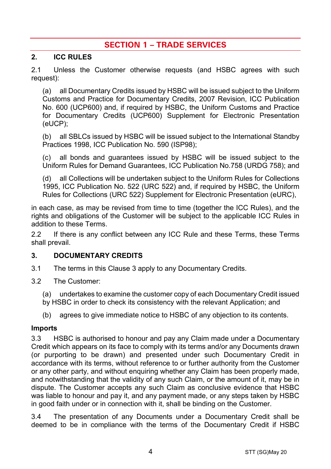# **SECTION 1 – TRADE SERVICES**

#### **2. ICC RULES**

2.1 Unless the Customer otherwise requests (and HSBC agrees with such request):

(a) all Documentary Credits issued by HSBC will be issued subject to the Uniform Customs and Practice for Documentary Credits, 2007 Revision, ICC Publication No. 600 (UCP600) and, if required by HSBC, the Uniform Customs and Practice for Documentary Credits (UCP600) Supplement for Electronic Presentation (eUCP);

(b) all SBLCs issued by HSBC will be issued subject to the International Standby Practices 1998, ICC Publication No. 590 (ISP98);

(c) all bonds and guarantees issued by HSBC will be issued subject to the Uniform Rules for Demand Guarantees, ICC Publication No.758 (URDG 758); and

(d) all Collections will be undertaken subject to the Uniform Rules for Collections 1995, ICC Publication No. 522 (URC 522) and, if required by HSBC, the Uniform Rules for Collections (URC 522) Supplement for Electronic Presentation (eURC),

in each case, as may be revised from time to time (together the ICC Rules), and the rights and obligations of the Customer will be subject to the applicable ICC Rules in addition to these Terms.

2.2 If there is any conflict between any ICC Rule and these Terms, these Terms shall prevail.

#### <span id="page-3-0"></span>**3. DOCUMENTARY CREDITS**

- 3.1 The terms in this Claus[e 3](#page-3-0) apply to any Documentary Credits.
- 3.2 The Customer:
	- (a) undertakes to examine the customer copy of each Documentary Credit issued
	- by HSBC in order to check its consistency with the relevant Application; and
	- (b) agrees to give immediate notice to HSBC of any objection to its contents.

#### **Imports**

3.3 HSBC is authorised to honour and pay any Claim made under a Documentary Credit which appears on its face to comply with its terms and/or any Documents drawn (or purporting to be drawn) and presented under such Documentary Credit in accordance with its terms, without reference to or further authority from the Customer or any other party, and without enquiring whether any Claim has been properly made, and notwithstanding that the validity of any such Claim, or the amount of it, may be in dispute. The Customer accepts any such Claim as conclusive evidence that HSBC was liable to honour and pay it, and any payment made, or any steps taken by HSBC in good faith under or in connection with it, shall be binding on the Customer.

3.4 The presentation of any Documents under a Documentary Credit shall be deemed to be in compliance with the terms of the Documentary Credit if HSBC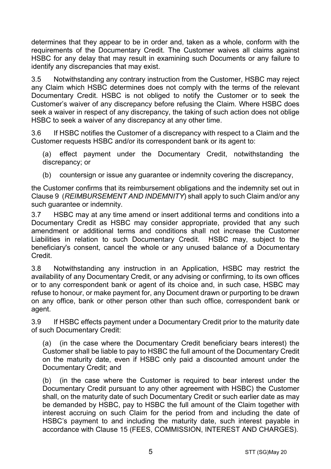determines that they appear to be in order and, taken as a whole, conform with the requirements of the Documentary Credit. The Customer waives all claims against HSBC for any delay that may result in examining such Documents or any failure to identify any discrepancies that may exist.

3.5 Notwithstanding any contrary instruction from the Customer, HSBC may reject any Claim which HSBC determines does not comply with the terms of the relevant Documentary Credit. HSBC is not obliged to notify the Customer or to seek the Customer's waiver of any discrepancy before refusing the Claim. Where HSBC does seek a waiver in respect of any discrepancy, the taking of such action does not oblige HSBC to seek a waiver of any discrepancy at any other time.

3.6 If HSBC notifies the Customer of a discrepancy with respect to a Claim and the Customer requests HSBC and/or its correspondent bank or its agent to:

(a) effect payment under the Documentary Credit, notwithstanding the discrepancy; or

(b) countersign or issue any guarantee or indemnity covering the discrepancy,

the Customer confirms that its reimbursement obligations and the indemnity set out in Claus[e 9](#page-13-0) (*[REIMBURSEMENT AND INDEMNITY](#page-13-0)*) shall apply to such Claim and/or any such guarantee or indemnity.

3.7 HSBC may at any time amend or insert additional terms and conditions into a Documentary Credit as HSBC may consider appropriate, provided that any such amendment or additional terms and conditions shall not increase the Customer Liabilities in relation to such Documentary Credit. HSBC may, subject to the beneficiary's consent, cancel the whole or any unused balance of a Documentary Credit.

3.8 Notwithstanding any instruction in an Application, HSBC may restrict the availability of any Documentary Credit, or any advising or confirming, to its own offices or to any correspondent bank or agent of its choice and, in such case, HSBC may refuse to honour, or make payment for, any Document drawn or purporting to be drawn on any office, bank or other person other than such office, correspondent bank or agent.

3.9 If HSBC effects payment under a Documentary Credit prior to the maturity date of such Documentary Credit:

(a) (in the case where the Documentary Credit beneficiary bears interest) the Customer shall be liable to pay to HSBC the full amount of the Documentary Credit on the maturity date, even if HSBC only paid a discounted amount under the Documentary Credit; and

(b) (in the case where the Customer is required to bear interest under the Documentary Credit pursuant to any other agreement with HSBC) the Customer shall, on the maturity date of such Documentary Credit or such earlier date as may be demanded by HSBC, pay to HSBC the full amount of the Claim together with interest accruing on such Claim for the period from and including the date of HSBC's payment to and including the maturity date, such interest payable in accordance with Clause [15](#page-16-0) [\(FEES, COMMISSION, INTEREST AND CHARGES\)](#page-16-0).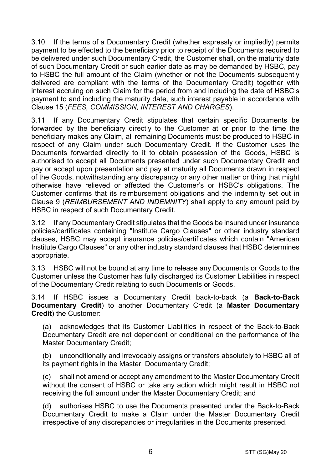3.10 If the terms of a Documentary Credit (whether expressly or impliedly) permits payment to be effected to the beneficiary prior to receipt of the Documents required to be delivered under such Documentary Credit, the Customer shall, on the maturity date of such Documentary Credit or such earlier date as may be demanded by HSBC, pay to HSBC the full amount of the Claim (whether or not the Documents subsequently delivered are compliant with the terms of the Documentary Credit) together with interest accruing on such Claim for the period from and including the date of HSBC's payment to and including the maturity date, such interest payable in accordance with Clause [15](#page-16-0) (*[FEES, COMMISSION, INTEREST AND CHARGES](#page-16-0)*).

3.11 If any Documentary Credit stipulates that certain specific Documents be forwarded by the beneficiary directly to the Customer at or prior to the time the beneficiary makes any Claim, all remaining Documents must be produced to HSBC in respect of any Claim under such Documentary Credit. If the Customer uses the Documents forwarded directly to it to obtain possession of the Goods, HSBC is authorised to accept all Documents presented under such Documentary Credit and pay or accept upon presentation and pay at maturity all Documents drawn in respect of the Goods, notwithstanding any discrepancy or any other matter or thing that might otherwise have relieved or affected the Customer's or HSBC's obligations. The Customer confirms that its reimbursement obligations and the indemnity set out in Clause [9](#page-13-0) (*[REIMBURSEMENT AND INDEMNITY](#page-13-0)*) shall apply to any amount paid by HSBC in respect of such Documentary Credit.

3.12 If any Documentary Credit stipulates that the Goods be insured under insurance policies/certificates containing "Institute Cargo Clauses" or other industry standard clauses, HSBC may accept insurance policies/certificates which contain "American Institute Cargo Clauses" or any other industry standard clauses that HSBC determines appropriate.

3.13 HSBC will not be bound at any time to release any Documents or Goods to the Customer unless the Customer has fully discharged its Customer Liabilities in respect of the Documentary Credit relating to such Documents or Goods.

<span id="page-5-0"></span>3.14 If HSBC issues a Documentary Credit back-to-back (a **Back-to-Back Documentary Credit**) to another Documentary Credit (a **Master Documentary Credit**) the Customer:

(a) acknowledges that its Customer Liabilities in respect of the Back-to-Back Documentary Credit are not dependent or conditional on the performance of the Master Documentary Credit;

(b) unconditionally and irrevocably assigns or transfers absolutely to HSBC all of its payment rights in the Master Documentary Credit;

(c) shall not amend or accept any amendment to the Master Documentary Credit without the consent of HSBC or take any action which might result in HSBC not receiving the full amount under the Master Documentary Credit; and

(d) authorises HSBC to use the Documents presented under the Back-to-Back Documentary Credit to make a Claim under the Master Documentary Credit irrespective of any discrepancies or irregularities in the Documents presented.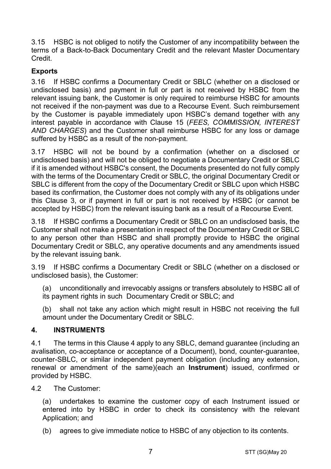3.15 HSBC is not obliged to notify the Customer of any incompatibility between the terms of a Back-to-Back Documentary Credit and the relevant Master Documentary Credit.

# **Exports**

3.16 If HSBC confirms a Documentary Credit or SBLC (whether on a disclosed or undisclosed basis) and payment in full or part is not received by HSBC from the relevant issuing bank, the Customer is only required to reimburse HSBC for amounts not received if the non-payment was due to a Recourse Event. Such reimbursement by the Customer is payable immediately upon HSBC's demand together with any interest payable in accordance with Clause [15](#page-16-0) (*[FEES, COMMISSION, INTEREST](#page-16-0)  [AND CHARGES](#page-16-0)*) and the Customer shall reimburse HSBC for any loss or damage suffered by HSBC as a result of the non-payment.

3.17 HSBC will not be bound by a confirmation (whether on a disclosed or undisclosed basis) and will not be obliged to negotiate a Documentary Credit or SBLC if it is amended without HSBC's consent, the Documents presented do not fully comply with the terms of the Documentary Credit or SBLC, the original Documentary Credit or SBLC is different from the copy of the Documentary Credit or SBLC upon which HSBC based its confirmation, the Customer does not comply with any of its obligations under this Clause [3,](#page-3-0) or if payment in full or part is not received by HSBC (or cannot be accepted by HSBC) from the relevant issuing bank as a result of a Recourse Event.

3.18 If HSBC confirms a Documentary Credit or SBLC on an undisclosed basis, the Customer shall not make a presentation in respect of the Documentary Credit or SBLC to any person other than HSBC and shall promptly provide to HSBC the original Documentary Credit or SBLC, any operative documents and any amendments issued by the relevant issuing bank.

3.19 If HSBC confirms a Documentary Credit or SBLC (whether on a disclosed or undisclosed basis), the Customer:

(a) unconditionally and irrevocably assigns or transfers absolutely to HSBC all of its payment rights in such Documentary Credit or SBLC; and

(b) shall not take any action which might result in HSBC not receiving the full amount under the Documentary Credit or SBLC.

## <span id="page-6-0"></span>**4. INSTRUMENTS**

4.1 The terms in this Clause [4](#page-6-0) apply to any SBLC, demand guarantee (including an avalisation, co-acceptance or acceptance of a Document), bond, counter-guarantee, counter-SBLC, or similar independent payment obligation (including any extension, renewal or amendment of the same)(each an **Instrument**) issued, confirmed or provided by HSBC.

4.2 The Customer:

(a) undertakes to examine the customer copy of each Instrument issued or entered into by HSBC in order to check its consistency with the relevant Application; and

(b) agrees to give immediate notice to HSBC of any objection to its contents.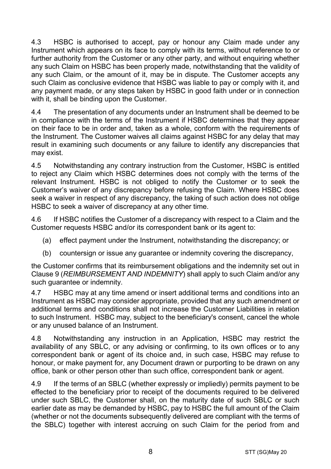4.3 HSBC is authorised to accept, pay or honour any Claim made under any Instrument which appears on its face to comply with its terms, without reference to or further authority from the Customer or any other party, and without enquiring whether any such Claim on HSBC has been properly made, notwithstanding that the validity of any such Claim, or the amount of it, may be in dispute. The Customer accepts any such Claim as conclusive evidence that HSBC was liable to pay or comply with it, and any payment made, or any steps taken by HSBC in good faith under or in connection with it, shall be binding upon the Customer.

4.4 The presentation of any documents under an Instrument shall be deemed to be in compliance with the terms of the Instrument if HSBC determines that they appear on their face to be in order and, taken as a whole, conform with the requirements of the Instrument. The Customer waives all claims against HSBC for any delay that may result in examining such documents or any failure to identify any discrepancies that may exist.

4.5 Notwithstanding any contrary instruction from the Customer, HSBC is entitled to reject any Claim which HSBC determines does not comply with the terms of the relevant Instrument. HSBC is not obliged to notify the Customer or to seek the Customer's waiver of any discrepancy before refusing the Claim. Where HSBC does seek a waiver in respect of any discrepancy, the taking of such action does not oblige HSBC to seek a waiver of discrepancy at any other time.

4.6 If HSBC notifies the Customer of a discrepancy with respect to a Claim and the Customer requests HSBC and/or its correspondent bank or its agent to:

- (a) effect payment under the Instrument, notwithstanding the discrepancy; or
- (b) countersign or issue any guarantee or indemnity covering the discrepancy,

the Customer confirms that its reimbursement obligations and the indemnity set out in Clause [9](#page-13-0) (*[REIMBURSEMENT AND INDEMNITY](#page-13-0)*) shall apply to such Claim and/or any such guarantee or indemnity.

4.7 HSBC may at any time amend or insert additional terms and conditions into an Instrument as HSBC may consider appropriate, provided that any such amendment or additional terms and conditions shall not increase the Customer Liabilities in relation to such Instrument. HSBC may, subject to the beneficiary's consent, cancel the whole or any unused balance of an Instrument.

4.8 Notwithstanding any instruction in an Application, HSBC may restrict the availability of any SBLC, or any advising or confirming, to its own offices or to any correspondent bank or agent of its choice and, in such case, HSBC may refuse to honour, or make payment for, any Document drawn or purporting to be drawn on any office, bank or other person other than such office, correspondent bank or agent.

4.9 If the terms of an SBLC (whether expressly or impliedly) permits payment to be effected to the beneficiary prior to receipt of the documents required to be delivered under such SBLC, the Customer shall, on the maturity date of such SBLC or such earlier date as may be demanded by HSBC, pay to HSBC the full amount of the Claim (whether or not the documents subsequently delivered are compliant with the terms of the SBLC) together with interest accruing on such Claim for the period from and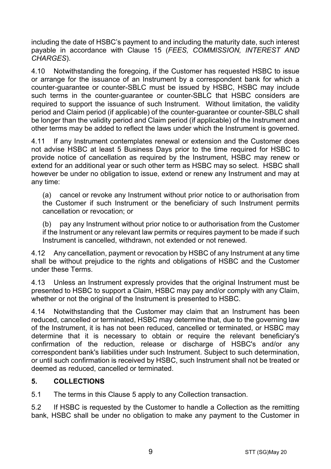including the date of HSBC's payment to and including the maturity date, such interest payable in accordance with Clause [15](#page-16-0) (*[FEES, COMMISSION, INTEREST AND](#page-16-0)  [CHARGES](#page-16-0)*).

4.10 Notwithstanding the foregoing, if the Customer has requested HSBC to issue or arrange for the issuance of an Instrument by a correspondent bank for which a counter-guarantee or counter-SBLC must be issued by HSBC, HSBC may include such terms in the counter-guarantee or counter-SBLC that HSBC considers are required to support the issuance of such Instrument. Without limitation, the validity period and Claim period (if applicable) of the counter-guarantee or counter-SBLC shall be longer than the validity period and Claim period (if applicable) of the Instrument and other terms may be added to reflect the laws under which the Instrument is governed.

4.11 If any Instrument contemplates renewal or extension and the Customer does not advise HSBC at least 5 Business Days prior to the time required for HSBC to provide notice of cancellation as required by the Instrument, HSBC may renew or extend for an additional year or such other term as HSBC may so select. HSBC shall however be under no obligation to issue, extend or renew any Instrument and may at any time:

(a) cancel or revoke any Instrument without prior notice to or authorisation from the Customer if such Instrument or the beneficiary of such Instrument permits cancellation or revocation; or

(b) pay any Instrument without prior notice to or authorisation from the Customer if the Instrument or any relevant law permits or requires payment to be made if such Instrument is cancelled, withdrawn, not extended or not renewed.

4.12 Any cancellation, payment or revocation by HSBC of any Instrument at any time shall be without prejudice to the rights and obligations of HSBC and the Customer under these Terms.

4.13 Unless an Instrument expressly provides that the original Instrument must be presented to HSBC to support a Claim, HSBC may pay and/or comply with any Claim, whether or not the original of the Instrument is presented to HSBC.

4.14 Notwithstanding that the Customer may claim that an Instrument has been reduced, cancelled or terminated, HSBC may determine that, due to the governing law of the Instrument, it is has not been reduced, cancelled or terminated, or HSBC may determine that it is necessary to obtain or require the relevant beneficiary's confirmation of the reduction, release or discharge of HSBC's and/or any correspondent bank's liabilities under such Instrument. Subject to such determination, or until such confirmation is received by HSBC, such Instrument shall not be treated or deemed as reduced, cancelled or terminated.

## <span id="page-8-0"></span>**5. COLLECTIONS**

5.1 The terms in this Claus[e 5](#page-8-0) apply to any Collection transaction.

5.2 If HSBC is requested by the Customer to handle a Collection as the remitting bank, HSBC shall be under no obligation to make any payment to the Customer in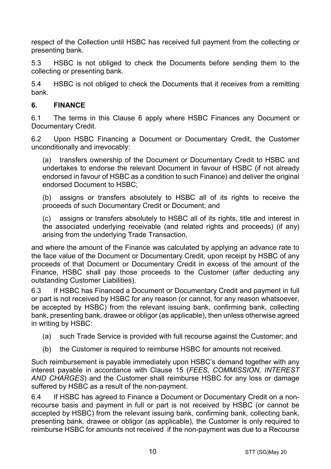respect of the Collection until HSBC has received full payment from the collecting or presenting bank.

5.3 HSBC is not obliged to check the Documents before sending them to the collecting or presenting bank.

5.4 HSBC is not obliged to check the Documents that it receives from a remitting bank.

## <span id="page-9-0"></span>**6. FINANCE**

6.1 The terms in this Clause [6](#page-9-0) apply where HSBC Finances any Document or Documentary Credit.

6.2 Upon HSBC Financing a Document or Documentary Credit, the Customer unconditionally and irrevocably:

(a) transfers ownership of the Document or Documentary Credit to HSBC and undertakes to endorse the relevant Document in favour of HSBC (if not already endorsed in favour of HSBC as a condition to such Finance) and deliver the original endorsed Document to HSBC;

(b) assigns or transfers absolutely to HSBC all of its rights to receive the proceeds of such Documentary Credit or Document; and

(c) assigns or transfers absolutely to HSBC all of its rights, title and interest in the associated underlying receivable (and related rights and proceeds) (if any) arising from the underlying Trade Transaction,

and where the amount of the Finance was calculated by applying an advance rate to the face value of the Document or Documentary Credit, upon receipt by HSBC of any proceeds of that Document or Documentary Credit in excess of the amount of the Finance, HSBC shall pay those proceeds to the Customer (after deducting any outstanding Customer Liabilities).

6.3 If HSBC has Financed a Document or Documentary Credit and payment in full or part is not received by HSBC for any reason (or cannot, for any reason whatsoever, be accepted by HSBC) from the relevant issuing bank, confirming bank, collecting bank, presenting bank, drawee or obligor (as applicable), then unless otherwise agreed in writing by HSBC:

- (a) such Trade Service is provided with full recourse against the Customer; and
- (b) the Customer is required to reimburse HSBC for amounts not received.

Such reimbursement is payable immediately upon HSBC's demand together with any interest payable in accordance with Clause [15](#page-16-0) (*[FEES, COMMISSION, INTEREST](#page-16-0)  [AND CHARGES](#page-16-0)*) and the Customer shall reimburse HSBC for any loss or damage suffered by HSBC as a result of the non-payment.

6.4 If HSBC has agreed to Finance a Document or Documentary Credit on a nonrecourse basis and payment in full or part is not received by HSBC (or cannot be accepted by HSBC) from the relevant issuing bank, confirming bank, collecting bank, presenting bank, drawee or obligor (as applicable), the Customer is only required to reimburse HSBC for amounts not received if the non-payment was due to a Recourse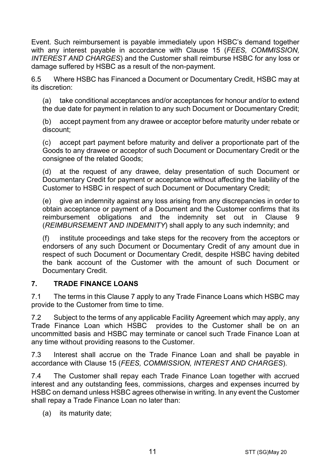Event. Such reimbursement is payable immediately upon HSBC's demand together with any interest payable in accordance with Clause [15](#page-16-0) (*[FEES, COMMISSION,](#page-16-0)  [INTEREST AND CHARGES](#page-16-0)*) and the Customer shall reimburse HSBC for any loss or damage suffered by HSBC as a result of the non-payment.

6.5 Where HSBC has Financed a Document or Documentary Credit, HSBC may at its discretion:

(a) take conditional acceptances and/or acceptances for honour and/or to extend the due date for payment in relation to any such Document or Documentary Credit;

(b) accept payment from any drawee or acceptor before maturity under rebate or discount;

(c) accept part payment before maturity and deliver a proportionate part of the Goods to any drawee or acceptor of such Document or Documentary Credit or the consignee of the related Goods;

(d) at the request of any drawee, delay presentation of such Document or Documentary Credit for payment or acceptance without affecting the liability of the Customer to HSBC in respect of such Document or Documentary Credit;

(e) give an indemnity against any loss arising from any discrepancies in order to obtain acceptance or payment of a Document and the Customer confirms that its reimbursement obligations and the indemnity set out in Clause [9](#page-13-0) (*[REIMBURSEMENT AND INDEMNITY](#page-13-0)*) shall apply to any such indemnity; and

(f) institute proceedings and take steps for the recovery from the acceptors or endorsers of any such Document or Documentary Credit of any amount due in respect of such Document or Documentary Credit, despite HSBC having debited the bank account of the Customer with the amount of such Document or Documentary Credit.

## <span id="page-10-0"></span>**7. TRADE FINANCE LOANS**

7.1 The terms in this Clause [7](#page-10-0) apply to any Trade Finance Loans which HSBC may provide to the Customer from time to time.

7.2 Subject to the terms of any applicable Facility Agreement which may apply, any Trade Finance Loan which HSBC provides to the Customer shall be on an uncommitted basis and HSBC may terminate or cancel such Trade Finance Loan at any time without providing reasons to the Customer.

7.3 Interest shall accrue on the Trade Finance Loan and shall be payable in accordance with Clause [15](#page-16-0) (*[FEES, COMMISSION, INTEREST AND CHARGES](#page-16-0)*).

7.4 The Customer shall repay each Trade Finance Loan together with accrued interest and any outstanding fees, commissions, charges and expenses incurred by HSBC on demand unless HSBC agrees otherwise in writing. In any event the Customer shall repay a Trade Finance Loan no later than:

(a) its maturity date;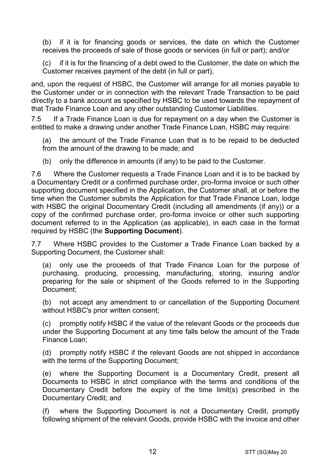(b) if it is for financing goods or services, the date on which the Customer receives the proceeds of sale of those goods or services (in full or part); and/or

(c) if it is for the financing of a debt owed to the Customer, the date on which the Customer receives payment of the debt (in full or part),

and, upon the request of HSBC, the Customer will arrange for all monies payable to the Customer under or in connection with the relevant Trade Transaction to be paid directly to a bank account as specified by HSBC to be used towards the repayment of that Trade Finance Loan and any other outstanding Customer Liabilities.

7.5 If a Trade Finance Loan is due for repayment on a day when the Customer is entitled to make a drawing under another Trade Finance Loan, HSBC may require:

(a) the amount of the Trade Finance Loan that is to be repaid to be deducted from the amount of the drawing to be made; and

(b) only the difference in amounts (if any) to be paid to the Customer.

7.6 Where the Customer requests a Trade Finance Loan and it is to be backed by a Documentary Credit or a confirmed purchase order, pro-forma invoice or such other supporting document specified in the Application, the Customer shall, at or before the time when the Customer submits the Application for that Trade Finance Loan, lodge with HSBC the original Documentary Credit (including all amendments (if any)) or a copy of the confirmed purchase order, pro-forma invoice or other such supporting document referred to in the Application (as applicable), in each case in the format required by HSBC (the **Supporting Document**).

7.7 Where HSBC provides to the Customer a Trade Finance Loan backed by a Supporting Document, the Customer shall:

(a) only use the proceeds of that Trade Finance Loan for the purpose of purchasing, producing, processing, manufacturing, storing, insuring and/or preparing for the sale or shipment of the Goods referred to in the Supporting Document;

(b) not accept any amendment to or cancellation of the Supporting Document without HSBC's prior written consent;

(c) promptly notify HSBC if the value of the relevant Goods or the proceeds due under the Supporting Document at any time falls below the amount of the Trade Finance Loan;

(d) promptly notify HSBC if the relevant Goods are not shipped in accordance with the terms of the Supporting Document;

(e) where the Supporting Document is a Documentary Credit, present all Documents to HSBC in strict compliance with the terms and conditions of the Documentary Credit before the expiry of the time limit(s) prescribed in the Documentary Credit; and

(f) where the Supporting Document is not a Documentary Credit, promptly following shipment of the relevant Goods, provide HSBC with the invoice and other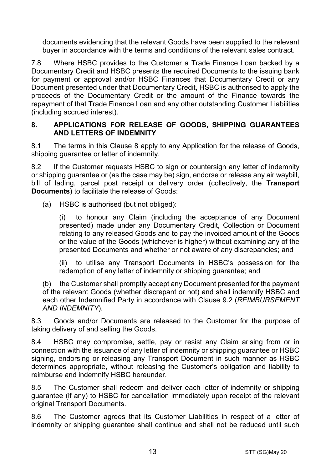documents evidencing that the relevant Goods have been supplied to the relevant buyer in accordance with the terms and conditions of the relevant sales contract.

7.8 Where HSBC provides to the Customer a Trade Finance Loan backed by a Documentary Credit and HSBC presents the required Documents to the issuing bank for payment or approval and/or HSBC Finances that Documentary Credit or any Document presented under that Documentary Credit, HSBC is authorised to apply the proceeds of the Documentary Credit or the amount of the Finance towards the repayment of that Trade Finance Loan and any other outstanding Customer Liabilities (including accrued interest).

#### <span id="page-12-0"></span>**8. APPLICATIONS FOR RELEASE OF GOODS, SHIPPING GUARANTEES AND LETTERS OF INDEMNITY**

8.1 The terms in this Clause [8](#page-12-0) apply to any Application for the release of Goods, shipping quarantee or letter of indemnity.

8.2 If the Customer requests HSBC to sign or countersign any letter of indemnity or shipping guarantee or (as the case may be) sign, endorse or release any air waybill, bill of lading, parcel post receipt or delivery order (collectively, the **Transport Documents**) to facilitate the release of Goods:

(a) HSBC is authorised (but not obliged):

(i) to honour any Claim (including the acceptance of any Document presented) made under any Documentary Credit, Collection or Document relating to any released Goods and to pay the invoiced amount of the Goods or the value of the Goods (whichever is higher) without examining any of the presented Documents and whether or not aware of any discrepancies; and

(ii) to utilise any Transport Documents in HSBC's possession for the redemption of any letter of indemnity or shipping guarantee; and

(b) the Customer shall promptly accept any Document presented for the payment of the relevant Goods (whether discrepant or not) and shall indemnify HSBC and each other Indemnified Party in accordance with Clause [9.2](#page-13-1) (*[REIMBURSEMENT](#page-13-0)  [AND INDEMNITY](#page-13-0)*).

8.3 Goods and/or Documents are released to the Customer for the purpose of taking delivery of and selling the Goods.

8.4 HSBC may compromise, settle, pay or resist any Claim arising from or in connection with the issuance of any letter of indemnity or shipping guarantee or HSBC signing, endorsing or releasing any Transport Document in such manner as HSBC determines appropriate, without releasing the Customer's obligation and liability to reimburse and indemnify HSBC hereunder.

8.5 The Customer shall redeem and deliver each letter of indemnity or shipping guarantee (if any) to HSBC for cancellation immediately upon receipt of the relevant original Transport Documents.

8.6 The Customer agrees that its Customer Liabilities in respect of a letter of indemnity or shipping guarantee shall continue and shall not be reduced until such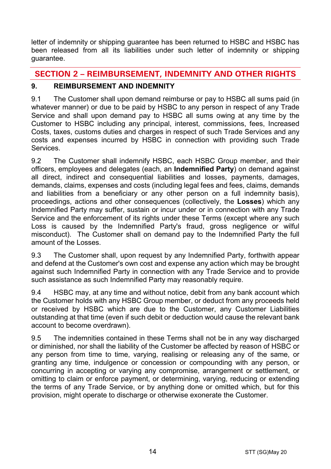letter of indemnity or shipping guarantee has been returned to HSBC and HSBC has been released from all its liabilities under such letter of indemnity or shipping guarantee.

# **SECTION 2 – REIMBURSEMENT, INDEMNITY AND OTHER RIGHTS**

# <span id="page-13-0"></span>**9. REIMBURSEMENT AND INDEMNITY**

9.1 The Customer shall upon demand reimburse or pay to HSBC all sums paid (in whatever manner) or due to be paid by HSBC to any person in respect of any Trade Service and shall upon demand pay to HSBC all sums owing at any time by the Customer to HSBC including any principal, interest, commissions, fees, Increased Costs, taxes, customs duties and charges in respect of such Trade Services and any costs and expenses incurred by HSBC in connection with providing such Trade **Services** 

<span id="page-13-1"></span>9.2 The Customer shall indemnify HSBC, each HSBC Group member, and their officers, employees and delegates (each, an **Indemnified Party**) on demand against all direct, indirect and consequential liabilities and losses, payments, damages, demands, claims, expenses and costs (including legal fees and fees, claims, demands and liabilities from a beneficiary or any other person on a full indemnity basis), proceedings, actions and other consequences (collectively, the **Losses**) which any Indemnified Party may suffer, sustain or incur under or in connection with any Trade Service and the enforcement of its rights under these Terms (except where any such Loss is caused by the Indemnified Party's fraud, gross negligence or wilful misconduct). The Customer shall on demand pay to the Indemnified Party the full amount of the Losses.

9.3 The Customer shall, upon request by any Indemnified Party, forthwith appear and defend at the Customer's own cost and expense any action which may be brought against such Indemnified Party in connection with any Trade Service and to provide such assistance as such Indemnified Party may reasonably require.

9.4 HSBC may, at any time and without notice, debit from any bank account which the Customer holds with any HSBC Group member, or deduct from any proceeds held or received by HSBC which are due to the Customer, any Customer Liabilities outstanding at that time (even if such debit or deduction would cause the relevant bank account to become overdrawn).

9.5 The indemnities contained in these Terms shall not be in any way discharged or diminished, nor shall the liability of the Customer be affected by reason of HSBC or any person from time to time, varying, realising or releasing any of the same, or granting any time, indulgence or concession or compounding with any person, or concurring in accepting or varying any compromise, arrangement or settlement, or omitting to claim or enforce payment, or determining, varying, reducing or extending the terms of any Trade Service, or by anything done or omitted which, but for this provision, might operate to discharge or otherwise exonerate the Customer.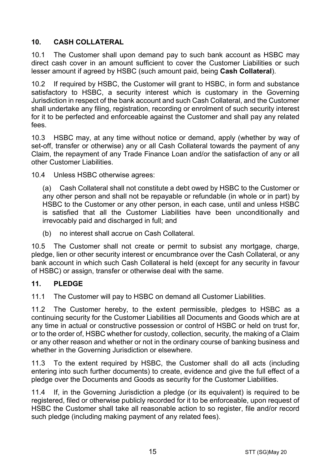# <span id="page-14-1"></span>**10. CASH COLLATERAL**

10.1 The Customer shall upon demand pay to such bank account as HSBC may direct cash cover in an amount sufficient to cover the Customer Liabilities or such lesser amount if agreed by HSBC (such amount paid, being **Cash Collateral**).

10.2 If required by HSBC, the Customer will grant to HSBC, in form and substance satisfactory to HSBC, a security interest which is customary in the Governing Jurisdiction in respect of the bank account and such Cash Collateral, and the Customer shall undertake any filing, registration, recording or enrolment of such security interest for it to be perfected and enforceable against the Customer and shall pay any related fees.

10.3 HSBC may, at any time without notice or demand, apply (whether by way of set-off, transfer or otherwise) any or all Cash Collateral towards the payment of any Claim, the repayment of any Trade Finance Loan and/or the satisfaction of any or all other Customer Liabilities.

10.4 Unless HSBC otherwise agrees:

(a) Cash Collateral shall not constitute a debt owed by HSBC to the Customer or any other person and shall not be repayable or refundable (in whole or in part) by HSBC to the Customer or any other person, in each case, until and unless HSBC is satisfied that all the Customer Liabilities have been unconditionally and irrevocably paid and discharged in full; and

(b) no interest shall accrue on Cash Collateral.

10.5 The Customer shall not create or permit to subsist any mortgage, charge, pledge, lien or other security interest or encumbrance over the Cash Collateral, or any bank account in which such Cash Collateral is held (except for any security in favour of HSBC) or assign, transfer or otherwise deal with the same.

## <span id="page-14-0"></span>**11. PLEDGE**

11.1 The Customer will pay to HSBC on demand all Customer Liabilities.

11.2 The Customer hereby, to the extent permissible, pledges to HSBC as a continuing security for the Customer Liabilities all Documents and Goods which are at any time in actual or constructive possession or control of HSBC or held on trust for, or to the order of, HSBC whether for custody, collection, security, the making of a Claim or any other reason and whether or not in the ordinary course of banking business and whether in the Governing Jurisdiction or elsewhere.

11.3 To the extent required by HSBC, the Customer shall do all acts (including entering into such further documents) to create, evidence and give the full effect of a pledge over the Documents and Goods as security for the Customer Liabilities.

11.4 If, in the Governing Jurisdiction a pledge (or its equivalent) is required to be registered, filed or otherwise publicly recorded for it to be enforceable, upon request of HSBC the Customer shall take all reasonable action to so register, file and/or record such pledge (including making payment of any related fees).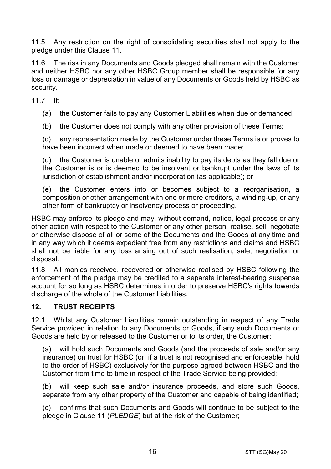11.5 Any restriction on the right of consolidating securities shall not apply to the pledge under this Clause [11.](#page-14-0)

11.6 The risk in any Documents and Goods pledged shall remain with the Customer and neither HSBC nor any other HSBC Group member shall be responsible for any loss or damage or depreciation in value of any Documents or Goods held by HSBC as security.

11.7 If:

(a) the Customer fails to pay any Customer Liabilities when due or demanded;

(b) the Customer does not comply with any other provision of these Terms;

(c) any representation made by the Customer under these Terms is or proves to have been incorrect when made or deemed to have been made;

(d) the Customer is unable or admits inability to pay its debts as they fall due or the Customer is or is deemed to be insolvent or bankrupt under the laws of its jurisdiction of establishment and/or incorporation (as applicable); or

(e) the Customer enters into or becomes subject to a reorganisation, a composition or other arrangement with one or more creditors, a winding-up, or any other form of bankruptcy or insolvency process or proceeding,

HSBC may enforce its pledge and may, without demand, notice, legal process or any other action with respect to the Customer or any other person, realise, sell, negotiate or otherwise dispose of all or some of the Documents and the Goods at any time and in any way which it deems expedient free from any restrictions and claims and HSBC shall not be liable for any loss arising out of such realisation, sale, negotiation or disposal.

11.8 All monies received, recovered or otherwise realised by HSBC following the enforcement of the pledge may be credited to a separate interest-bearing suspense account for so long as HSBC determines in order to preserve HSBC's rights towards discharge of the whole of the Customer Liabilities.

## **12. TRUST RECEIPTS**

12.1 Whilst any Customer Liabilities remain outstanding in respect of any Trade Service provided in relation to any Documents or Goods, if any such Documents or Goods are held by or released to the Customer or to its order, the Customer:

(a) will hold such Documents and Goods (and the proceeds of sale and/or any insurance) on trust for HSBC (or, if a trust is not recognised and enforceable, hold to the order of HSBC) exclusively for the purpose agreed between HSBC and the Customer from time to time in respect of the Trade Service being provided;

(b) will keep such sale and/or insurance proceeds, and store such Goods, separate from any other property of the Customer and capable of being identified;

(c) confirms that such Documents and Goods will continue to be subject to the pledge in Claus[e 11](#page-14-0) (*[PLEDGE](#page-14-0)*) but at the risk of the Customer;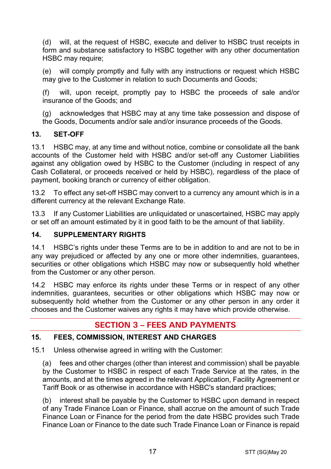(d) will, at the request of HSBC, execute and deliver to HSBC trust receipts in form and substance satisfactory to HSBC together with any other documentation HSBC may require:

(e) will comply promptly and fully with any instructions or request which HSBC may give to the Customer in relation to such Documents and Goods;

(f) will, upon receipt, promptly pay to HSBC the proceeds of sale and/or insurance of the Goods; and

(g) acknowledges that HSBC may at any time take possession and dispose of the Goods, Documents and/or sale and/or insurance proceeds of the Goods.

## **13. SET-OFF**

13.1 HSBC may, at any time and without notice, combine or consolidate all the bank accounts of the Customer held with HSBC and/or set-off any Customer Liabilities against any obligation owed by HSBC to the Customer (including in respect of any Cash Collateral, or proceeds received or held by HSBC), regardless of the place of payment, booking branch or currency of either obligation.

13.2 To effect any set-off HSBC may convert to a currency any amount which is in a different currency at the relevant Exchange Rate.

13.3 If any Customer Liabilities are unliquidated or unascertained, HSBC may apply or set off an amount estimated by it in good faith to be the amount of that liability.

## **14. SUPPLEMENTARY RIGHTS**

14.1 HSBC's rights under these Terms are to be in addition to and are not to be in any way prejudiced or affected by any one or more other indemnities, guarantees, securities or other obligations which HSBC may now or subsequently hold whether from the Customer or any other person.

14.2 HSBC may enforce its rights under these Terms or in respect of any other indemnities, guarantees, securities or other obligations which HSBC may now or subsequently hold whether from the Customer or any other person in any order it chooses and the Customer waives any rights it may have which provide otherwise.

# **SECTION 3 – FEES AND PAYMENTS**

## <span id="page-16-0"></span>**15. FEES, COMMISSION, INTEREST AND CHARGES**

15.1 Unless otherwise agreed in writing with the Customer:

(a) fees and other charges (other than interest and commission) shall be payable by the Customer to HSBC in respect of each Trade Service at the rates, in the amounts, and at the times agreed in the relevant Application, Facility Agreement or Tariff Book or as otherwise in accordance with HSBC's standard practices;

(b) interest shall be payable by the Customer to HSBC upon demand in respect of any Trade Finance Loan or Finance, shall accrue on the amount of such Trade Finance Loan or Finance for the period from the date HSBC provides such Trade Finance Loan or Finance to the date such Trade Finance Loan or Finance is repaid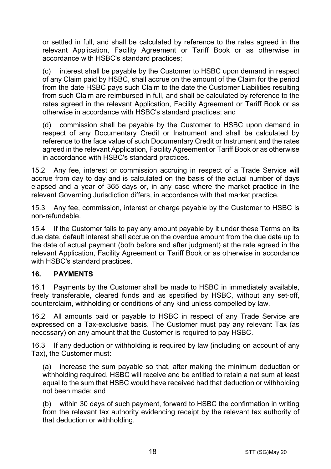or settled in full, and shall be calculated by reference to the rates agreed in the relevant Application, Facility Agreement or Tariff Book or as otherwise in accordance with HSBC's standard practices;

(c) interest shall be payable by the Customer to HSBC upon demand in respect of any Claim paid by HSBC, shall accrue on the amount of the Claim for the period from the date HSBC pays such Claim to the date the Customer Liabilities resulting from such Claim are reimbursed in full, and shall be calculated by reference to the rates agreed in the relevant Application, Facility Agreement or Tariff Book or as otherwise in accordance with HSBC's standard practices; and

(d) commission shall be payable by the Customer to HSBC upon demand in respect of any Documentary Credit or Instrument and shall be calculated by reference to the face value of such Documentary Credit or Instrument and the rates agreed in the relevant Application, Facility Agreement or Tariff Book or as otherwise in accordance with HSBC's standard practices.

15.2 Any fee, interest or commission accruing in respect of a Trade Service will accrue from day to day and is calculated on the basis of the actual number of days elapsed and a year of 365 days or, in any case where the market practice in the relevant Governing Jurisdiction differs, in accordance with that market practice.

15.3 Any fee, commission, interest or charge payable by the Customer to HSBC is non-refundable.

15.4 If the Customer fails to pay any amount payable by it under these Terms on its due date, default interest shall accrue on the overdue amount from the due date up to the date of actual payment (both before and after judgment) at the rate agreed in the relevant Application, Facility Agreement or Tariff Book or as otherwise in accordance with HSBC's standard practices.

## **16. PAYMENTS**

16.1 Payments by the Customer shall be made to HSBC in immediately available, freely transferable, cleared funds and as specified by HSBC, without any set-off, counterclaim, withholding or conditions of any kind unless compelled by law.

16.2 All amounts paid or payable to HSBC in respect of any Trade Service are expressed on a Tax-exclusive basis. The Customer must pay any relevant Tax (as necessary) on any amount that the Customer is required to pay HSBC.

16.3 If any deduction or withholding is required by law (including on account of any Tax), the Customer must:

(a) increase the sum payable so that, after making the minimum deduction or withholding required, HSBC will receive and be entitled to retain a net sum at least equal to the sum that HSBC would have received had that deduction or withholding not been made; and

(b) within 30 days of such payment, forward to HSBC the confirmation in writing from the relevant tax authority evidencing receipt by the relevant tax authority of that deduction or withholding.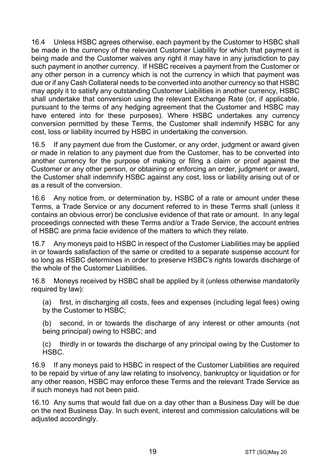16.4 Unless HSBC agrees otherwise, each payment by the Customer to HSBC shall be made in the currency of the relevant Customer Liability for which that payment is being made and the Customer waives any right it may have in any jurisdiction to pay such payment in another currency. If HSBC receives a payment from the Customer or any other person in a currency which is not the currency in which that payment was due or if any Cash Collateral needs to be converted into another currency so that HSBC may apply it to satisfy any outstanding Customer Liabilities in another currency, HSBC shall undertake that conversion using the relevant Exchange Rate (or, if applicable, pursuant to the terms of any hedging agreement that the Customer and HSBC may have entered into for these purposes). Where HSBC undertakes any currency conversion permitted by these Terms, the Customer shall indemnify HSBC for any cost, loss or liability incurred by HSBC in undertaking the conversion.

16.5 If any payment due from the Customer, or any order, judgment or award given or made in relation to any payment due from the Customer, has to be converted into another currency for the purpose of making or filing a claim or proof against the Customer or any other person, or obtaining or enforcing an order, judgment or award, the Customer shall indemnify HSBC against any cost, loss or liability arising out of or as a result of the conversion.

16.6 Any notice from, or determination by, HSBC of a rate or amount under these Terms, a Trade Service or any document referred to in these Terms shall (unless it contains an obvious error) be conclusive evidence of that rate or amount. In any legal proceedings connected with these Terms and/or a Trade Service, the account entries of HSBC are prima facie evidence of the matters to which they relate.

16.7 Any moneys paid to HSBC in respect of the Customer Liabilities may be applied in or towards satisfaction of the same or credited to a separate suspense account for so long as HSBC determines in order to preserve HSBC's rights towards discharge of the whole of the Customer Liabilities.

16.8 Moneys received by HSBC shall be applied by it (unless otherwise mandatorily required by law):

(a) first, in discharging all costs, fees and expenses (including legal fees) owing by the Customer to HSBC;

(b) second, in or towards the discharge of any interest or other amounts (not being principal) owing to HSBC; and

(c) thirdly in or towards the discharge of any principal owing by the Customer to HSBC.

16.9 If any moneys paid to HSBC in respect of the Customer Liabilities are required to be repaid by virtue of any law relating to insolvency, bankruptcy or liquidation or for any other reason, HSBC may enforce these Terms and the relevant Trade Service as if such moneys had not been paid.

16.10 Any sums that would fall due on a day other than a Business Day will be due on the next Business Day. In such event, interest and commission calculations will be adjusted accordingly.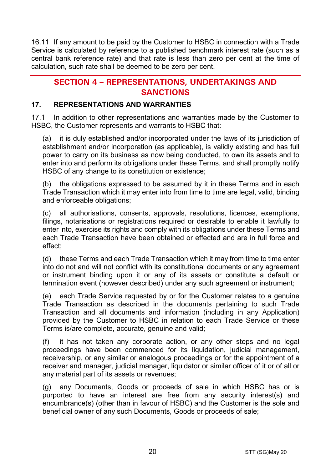16.11 If any amount to be paid by the Customer to HSBC in connection with a Trade Service is calculated by reference to a published benchmark interest rate (such as a central bank reference rate) and that rate is less than zero per cent at the time of calculation, such rate shall be deemed to be zero per cent.

# **SECTION 4 – REPRESENTATIONS, UNDERTAKINGS AND SANCTIONS**

## **17. REPRESENTATIONS AND WARRANTIES**

17.1 In addition to other representations and warranties made by the Customer to HSBC, the Customer represents and warrants to HSBC that:

(a) it is duly established and/or incorporated under the laws of its jurisdiction of establishment and/or incorporation (as applicable), is validly existing and has full power to carry on its business as now being conducted, to own its assets and to enter into and perform its obligations under these Terms, and shall promptly notify HSBC of any change to its constitution or existence;

(b) the obligations expressed to be assumed by it in these Terms and in each Trade Transaction which it may enter into from time to time are legal, valid, binding and enforceable obligations;

(c) all authorisations, consents, approvals, resolutions, licences, exemptions, filings, notarisations or registrations required or desirable to enable it lawfully to enter into, exercise its rights and comply with its obligations under these Terms and each Trade Transaction have been obtained or effected and are in full force and effect;

(d) these Terms and each Trade Transaction which it may from time to time enter into do not and will not conflict with its constitutional documents or any agreement or instrument binding upon it or any of its assets or constitute a default or termination event (however described) under any such agreement or instrument;

(e) each Trade Service requested by or for the Customer relates to a genuine Trade Transaction as described in the documents pertaining to such Trade Transaction and all documents and information (including in any Application) provided by the Customer to HSBC in relation to each Trade Service or these Terms is/are complete, accurate, genuine and valid;

(f) it has not taken any corporate action, or any other steps and no legal proceedings have been commenced for its liquidation, judicial management, receivership, or any similar or analogous proceedings or for the appointment of a receiver and manager, judicial manager, liquidator or similar officer of it or of all or any material part of its assets or revenues;

(g) any Documents, Goods or proceeds of sale in which HSBC has or is purported to have an interest are free from any security interest(s) and encumbrance(s) (other than in favour of HSBC) and the Customer is the sole and beneficial owner of any such Documents, Goods or proceeds of sale;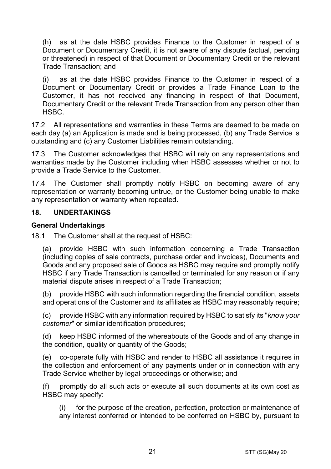(h) as at the date HSBC provides Finance to the Customer in respect of a Document or Documentary Credit, it is not aware of any dispute (actual, pending or threatened) in respect of that Document or Documentary Credit or the relevant Trade Transaction; and

(i) as at the date HSBC provides Finance to the Customer in respect of a Document or Documentary Credit or provides a Trade Finance Loan to the Customer, it has not received any financing in respect of that Document, Documentary Credit or the relevant Trade Transaction from any person other than HSBC.

17.2 All representations and warranties in these Terms are deemed to be made on each day (a) an Application is made and is being processed, (b) any Trade Service is outstanding and (c) any Customer Liabilities remain outstanding.

17.3 The Customer acknowledges that HSBC will rely on any representations and warranties made by the Customer including when HSBC assesses whether or not to provide a Trade Service to the Customer.

17.4 The Customer shall promptly notify HSBC on becoming aware of any representation or warranty becoming untrue, or the Customer being unable to make any representation or warranty when repeated.

#### **18. UNDERTAKINGS**

#### **General Undertakings**

18.1 The Customer shall at the request of HSBC:

(a) provide HSBC with such information concerning a Trade Transaction (including copies of sale contracts, purchase order and invoices), Documents and Goods and any proposed sale of Goods as HSBC may require and promptly notify HSBC if any Trade Transaction is cancelled or terminated for any reason or if any material dispute arises in respect of a Trade Transaction;

(b) provide HSBC with such information regarding the financial condition, assets and operations of the Customer and its affiliates as HSBC may reasonably require;

(c) provide HSBC with any information required by HSBC to satisfy its "*know your customer*" or similar identification procedures;

(d) keep HSBC informed of the whereabouts of the Goods and of any change in the condition, quality or quantity of the Goods;

(e) co-operate fully with HSBC and render to HSBC all assistance it requires in the collection and enforcement of any payments under or in connection with any Trade Service whether by legal proceedings or otherwise; and

(f) promptly do all such acts or execute all such documents at its own cost as HSBC may specify:

(i) for the purpose of the creation, perfection, protection or maintenance of any interest conferred or intended to be conferred on HSBC by, pursuant to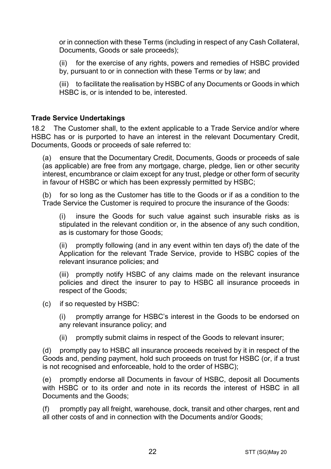or in connection with these Terms (including in respect of any Cash Collateral, Documents, Goods or sale proceeds);

(ii) for the exercise of any rights, powers and remedies of HSBC provided by, pursuant to or in connection with these Terms or by law; and

(iii) to facilitate the realisation by HSBC of any Documents or Goods in which HSBC is, or is intended to be, interested.

#### **Trade Service Undertakings**

18.2 The Customer shall, to the extent applicable to a Trade Service and/or where HSBC has or is purported to have an interest in the relevant Documentary Credit, Documents, Goods or proceeds of sale referred to:

(a) ensure that the Documentary Credit, Documents, Goods or proceeds of sale (as applicable) are free from any mortgage, charge, pledge, lien or other security interest, encumbrance or claim except for any trust, pledge or other form of security in favour of HSBC or which has been expressly permitted by HSBC;

(b) for so long as the Customer has title to the Goods or if as a condition to the Trade Service the Customer is required to procure the insurance of the Goods:

(i) insure the Goods for such value against such insurable risks as is stipulated in the relevant condition or, in the absence of any such condition, as is customary for those Goods;

(ii) promptly following (and in any event within ten days of) the date of the Application for the relevant Trade Service, provide to HSBC copies of the relevant insurance policies; and

(iii) promptly notify HSBC of any claims made on the relevant insurance policies and direct the insurer to pay to HSBC all insurance proceeds in respect of the Goods;

(c) if so requested by HSBC:

(i) promptly arrange for HSBC's interest in the Goods to be endorsed on any relevant insurance policy; and

(ii) promptly submit claims in respect of the Goods to relevant insurer;

(d) promptly pay to HSBC all insurance proceeds received by it in respect of the Goods and, pending payment, hold such proceeds on trust for HSBC (or, if a trust is not recognised and enforceable, hold to the order of HSBC);

(e) promptly endorse all Documents in favour of HSBC, deposit all Documents with HSBC or to its order and note in its records the interest of HSBC in all Documents and the Goods;

(f) promptly pay all freight, warehouse, dock, transit and other charges, rent and all other costs of and in connection with the Documents and/or Goods;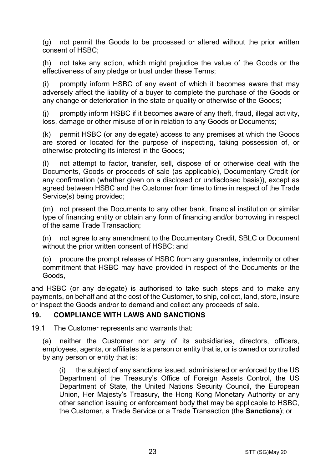(g) not permit the Goods to be processed or altered without the prior written consent of HSBC;

(h) not take any action, which might prejudice the value of the Goods or the effectiveness of any pledge or trust under these Terms;

(i) promptly inform HSBC of any event of which it becomes aware that may adversely affect the liability of a buyer to complete the purchase of the Goods or any change or deterioration in the state or quality or otherwise of the Goods;

(j) promptly inform HSBC if it becomes aware of any theft, fraud, illegal activity, loss, damage or other misuse of or in relation to any Goods or Documents;

(k) permit HSBC (or any delegate) access to any premises at which the Goods are stored or located for the purpose of inspecting, taking possession of, or otherwise protecting its interest in the Goods;

(l) not attempt to factor, transfer, sell, dispose of or otherwise deal with the Documents, Goods or proceeds of sale (as applicable), Documentary Credit (or any confirmation (whether given on a disclosed or undisclosed basis)), except as agreed between HSBC and the Customer from time to time in respect of the Trade Service(s) being provided;

(m) not present the Documents to any other bank, financial institution or similar type of financing entity or obtain any form of financing and/or borrowing in respect of the same Trade Transaction;

(n) not agree to any amendment to the Documentary Credit, SBLC or Document without the prior written consent of HSBC; and

(o) procure the prompt release of HSBC from any guarantee, indemnity or other commitment that HSBC may have provided in respect of the Documents or the Goods,

and HSBC (or any delegate) is authorised to take such steps and to make any payments, on behalf and at the cost of the Customer, to ship, collect, land, store, insure or inspect the Goods and/or to demand and collect any proceeds of sale.

#### <span id="page-22-0"></span>**19. COMPLIANCE WITH LAWS AND SANCTIONS**

19.1 The Customer represents and warrants that:

(a) neither the Customer nor any of its subsidiaries, directors, officers, employees, agents, or affiliates is a person or entity that is, or is owned or controlled by any person or entity that is:

(i) the subject of any sanctions issued, administered or enforced by the US Department of the Treasury's Office of Foreign Assets Control, the US Department of State, the United Nations Security Council, the European Union, Her Majesty's Treasury, the Hong Kong Monetary Authority or any other sanction issuing or enforcement body that may be applicable to HSBC, the Customer, a Trade Service or a Trade Transaction (the **Sanctions**); or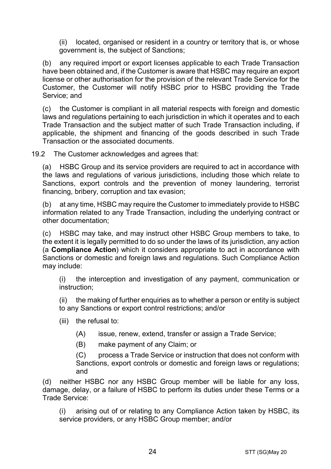(ii) located, organised or resident in a country or territory that is, or whose government is, the subject of Sanctions;

(b) any required import or export licenses applicable to each Trade Transaction have been obtained and, if the Customer is aware that HSBC may require an export license or other authorisation for the provision of the relevant Trade Service for the Customer, the Customer will notify HSBC prior to HSBC providing the Trade Service; and

(c) the Customer is compliant in all material respects with foreign and domestic laws and regulations pertaining to each jurisdiction in which it operates and to each Trade Transaction and the subject matter of such Trade Transaction including, if applicable, the shipment and financing of the goods described in such Trade Transaction or the associated documents.

19.2 The Customer acknowledges and agrees that:

(a) HSBC Group and its service providers are required to act in accordance with the laws and regulations of various jurisdictions, including those which relate to Sanctions, export controls and the prevention of money laundering, terrorist financing, bribery, corruption and tax evasion;

(b) at any time, HSBC may require the Customer to immediately provide to HSBC information related to any Trade Transaction, including the underlying contract or other documentation;

(c) HSBC may take, and may instruct other HSBC Group members to take, to the extent it is legally permitted to do so under the laws of its jurisdiction, any action (a **Compliance Action**) which it considers appropriate to act in accordance with Sanctions or domestic and foreign laws and regulations. Such Compliance Action may include:

(i) the interception and investigation of any payment, communication or instruction;

(ii) the making of further enquiries as to whether a person or entity is subject to any Sanctions or export control restrictions; and/or

- (iii) the refusal to:
	- (A) issue, renew, extend, transfer or assign a Trade Service;
	- (B) make payment of any Claim; or

(C) process a Trade Service or instruction that does not conform with Sanctions, export controls or domestic and foreign laws or regulations; and

(d) neither HSBC nor any HSBC Group member will be liable for any loss, damage, delay, or a failure of HSBC to perform its duties under these Terms or a Trade Service:

(i) arising out of or relating to any Compliance Action taken by HSBC, its service providers, or any HSBC Group member; and/or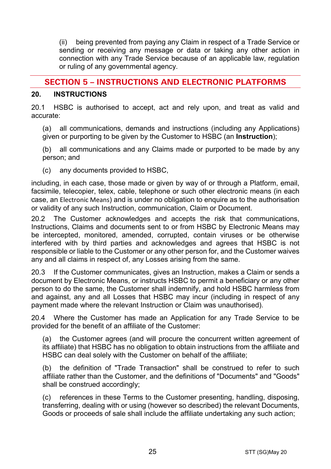(ii) being prevented from paying any Claim in respect of a Trade Service or sending or receiving any message or data or taking any other action in connection with any Trade Service because of an applicable law, regulation or ruling of any governmental agency.

# **SECTION 5 – INSTRUCTIONS AND ELECTRONIC PLATFORMS**

#### <span id="page-24-0"></span>**20. INSTRUCTIONS**

20.1 HSBC is authorised to accept, act and rely upon, and treat as valid and accurate:

(a) all communications, demands and instructions (including any Applications) given or purporting to be given by the Customer to HSBC (an **Instruction**);

(b) all communications and any Claims made or purported to be made by any person; and

(c) any documents provided to HSBC,

including, in each case, those made or given by way of or through a Platform, email, facsimile, telecopier, telex, cable, telephone or such other electronic means (in each case, an Electronic Means) and is under no obligation to enquire as to the authorisation or validity of any such Instruction, communication, Claim or Document.

20.2 The Customer acknowledges and accepts the risk that communications, Instructions, Claims and documents sent to or from HSBC by Electronic Means may be intercepted, monitored, amended, corrupted, contain viruses or be otherwise interfered with by third parties and acknowledges and agrees that HSBC is not responsible or liable to the Customer or any other person for, and the Customer waives any and all claims in respect of, any Losses arising from the same.

20.3 If the Customer communicates, gives an Instruction, makes a Claim or sends a document by Electronic Means, or instructs HSBC to permit a beneficiary or any other person to do the same, the Customer shall indemnify, and hold HSBC harmless from and against, any and all Losses that HSBC may incur (including in respect of any payment made where the relevant Instruction or Claim was unauthorised).

20.4 Where the Customer has made an Application for any Trade Service to be provided for the benefit of an affiliate of the Customer:

(a) the Customer agrees (and will procure the concurrent written agreement of its affiliate) that HSBC has no obligation to obtain instructions from the affiliate and HSBC can deal solely with the Customer on behalf of the affiliate;

(b) the definition of "Trade Transaction" shall be construed to refer to such affiliate rather than the Customer, and the definitions of "Documents" and "Goods" shall be construed accordingly;

(c) references in these Terms to the Customer presenting, handling, disposing, transferring, dealing with or using (however so described) the relevant Documents, Goods or proceeds of sale shall include the affiliate undertaking any such action;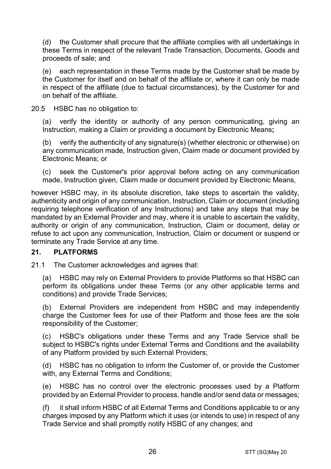(d) the Customer shall procure that the affiliate complies with all undertakings in these Terms in respect of the relevant Trade Transaction, Documents, Goods and proceeds of sale; and

(e) each representation in these Terms made by the Customer shall be made by the Customer for itself and on behalf of the affiliate or, where it can only be made in respect of the affiliate (due to factual circumstances), by the Customer for and on behalf of the affiliate.

20.5 HSBC has no obligation to:

(a) verify the identity or authority of any person communicating, giving an Instruction, making a Claim or providing a document by Electronic Means**;**

(b) verify the authenticity of any signature(s) (whether electronic or otherwise) on any communication made, Instruction given, Claim made or document provided by Electronic Means; or

(c) seek the Customer's prior approval before acting on any communication made, Instruction given, Claim made or document provided by Electronic Means,

however HSBC may, in its absolute discretion, take steps to ascertain the validity, authenticity and origin of any communication, Instruction, Claim or document (including requiring telephone verification of any Instructions) and take any steps that may be mandated by an External Provider and may, where it is unable to ascertain the validity, authority or origin of any communication, Instruction, Claim or document, delay or refuse to act upon any communication, Instruction, Claim or document or suspend or terminate any Trade Service at any time.

#### **21. PLATFORMS**

21.1 The Customer acknowledges and agrees that:

(a) HSBC may rely on External Providers to provide Platforms so that HSBC can perform its obligations under these Terms (or any other applicable terms and conditions) and provide Trade Services;

(b) External Providers are independent from HSBC and may independently charge the Customer fees for use of their Platform and those fees are the sole responsibility of the Customer;

(c) HSBC's obligations under these Terms and any Trade Service shall be subject to HSBC's rights under External Terms and Conditions and the availability of any Platform provided by such External Providers;

(d) HSBC has no obligation to inform the Customer of, or provide the Customer with, any External Terms and Conditions;

(e) HSBC has no control over the electronic processes used by a Platform provided by an External Provider to process, handle and/or send data or messages;

(f) it shall inform HSBC of all External Terms and Conditions applicable to or any charges imposed by any Platform which it uses (or intends to use) in respect of any Trade Service and shall promptly notify HSBC of any changes; and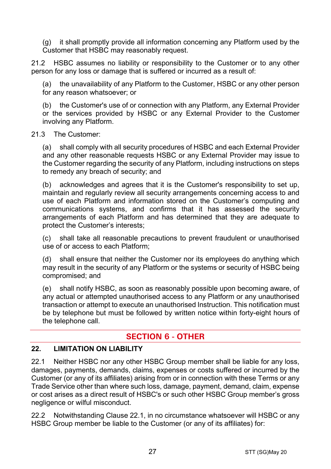(g) it shall promptly provide all information concerning any Platform used by the Customer that HSBC may reasonably request.

21.2 HSBC assumes no liability or responsibility to the Customer or to any other person for any loss or damage that is suffered or incurred as a result of:

(a) the unavailability of any Platform to the Customer, HSBC or any other person for any reason whatsoever; or

(b) the Customer's use of or connection with any Platform, any External Provider or the services provided by HSBC or any External Provider to the Customer involving any Platform.

#### 21.3 The Customer:

(a) shall comply with all security procedures of HSBC and each External Provider and any other reasonable requests HSBC or any External Provider may issue to the Customer regarding the security of any Platform, including instructions on steps to remedy any breach of security; and

(b) acknowledges and agrees that it is the Customer's responsibility to set up, maintain and regularly review all security arrangements concerning access to and use of each Platform and information stored on the Customer's computing and communications systems, and confirms that it has assessed the security arrangements of each Platform and has determined that they are adequate to protect the Customer's interests;

(c) shall take all reasonable precautions to prevent fraudulent or unauthorised use of or access to each Platform;

(d) shall ensure that neither the Customer nor its employees do anything which may result in the security of any Platform or the systems or security of HSBC being compromised; and

(e) shall notify HSBC, as soon as reasonably possible upon becoming aware, of any actual or attempted unauthorised access to any Platform or any unauthorised transaction or attempt to execute an unauthorised Instruction. This notification must be by telephone but must be followed by written notice within forty-eight hours of the telephone call.

# **SECTION 6 - OTHER**

#### **22. LIMITATION ON LIABILITY**

<span id="page-26-0"></span>22.1 Neither HSBC nor any other HSBC Group member shall be liable for any loss, damages, payments, demands, claims, expenses or costs suffered or incurred by the Customer (or any of its affiliates) arising from or in connection with these Terms or any Trade Service other than where such loss, damage, payment, demand, claim, expense or cost arises as a direct result of HSBC's or such other HSBC Group member's gross negligence or wilful misconduct.

<span id="page-26-1"></span>22.2 Notwithstanding Clause [22.1,](#page-26-0) in no circumstance whatsoever will HSBC or any HSBC Group member be liable to the Customer (or any of its affiliates) for: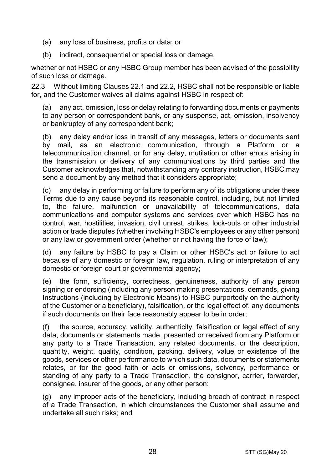- (a) any loss of business, profits or data; or
- (b) indirect, consequential or special loss or damage,

whether or not HSBC or any HSBC Group member has been advised of the possibility of such loss or damage.

22.3 Without limiting Clauses [22.1](#page-26-0) and [22.2,](#page-26-1) HSBC shall not be responsible or liable for, and the Customer waives all claims against HSBC in respect of:

(a) any act, omission, loss or delay relating to forwarding documents or payments to any person or correspondent bank, or any suspense, act, omission, insolvency or bankruptcy of any correspondent bank;

(b) any delay and/or loss in transit of any messages, letters or documents sent by mail, as an electronic communication, through a Platform or a telecommunication channel, or for any delay, mutilation or other errors arising in the transmission or delivery of any communications by third parties and the Customer acknowledges that, notwithstanding any contrary instruction, HSBC may send a document by any method that it considers appropriate;

(c) any delay in performing or failure to perform any of its obligations under these Terms due to any cause beyond its reasonable control, including, but not limited to, the failure, malfunction or unavailability of telecommunications, data communications and computer systems and services over which HSBC has no control, war, hostilities, invasion, civil unrest, strikes, lock-outs or other industrial action or trade disputes (whether involving HSBC's employees or any other person) or any law or government order (whether or not having the force of law);

(d) any failure by HSBC to pay a Claim or other HSBC's act or failure to act because of any domestic or foreign law, regulation, ruling or interpretation of any domestic or foreign court or governmental agency;

(e) the form, sufficiency, correctness, genuineness, authority of any person signing or endorsing (including any person making presentations, demands, giving Instructions (including by Electronic Means) to HSBC purportedly on the authority of the Customer or a beneficiary), falsification, or the legal effect of, any documents if such documents on their face reasonably appear to be in order;

(f) the source, accuracy, validity, authenticity, falsification or legal effect of any data, documents or statements made, presented or received from any Platform or any party to a Trade Transaction, any related documents, or the description, quantity, weight, quality, condition, packing, delivery, value or existence of the goods, services or other performance to which such data, documents or statements relates, or for the good faith or acts or omissions, solvency, performance or standing of any party to a Trade Transaction, the consignor, carrier, forwarder, consignee, insurer of the goods, or any other person;

(g) any improper acts of the beneficiary, including breach of contract in respect of a Trade Transaction, in which circumstances the Customer shall assume and undertake all such risks; and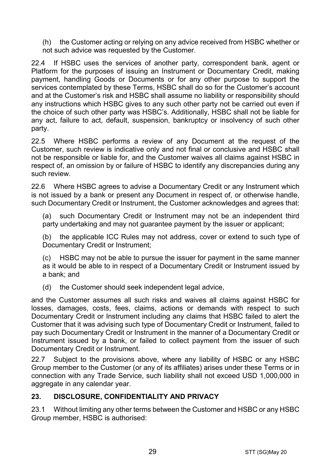(h) the Customer acting or relying on any advice received from HSBC whether or not such advice was requested by the Customer.

22.4 If HSBC uses the services of another party, correspondent bank, agent or Platform for the purposes of issuing an Instrument or Documentary Credit, making payment, handling Goods or Documents or for any other purpose to support the services contemplated by these Terms, HSBC shall do so for the Customer's account and at the Customer's risk and HSBC shall assume no liability or responsibility should any instructions which HSBC gives to any such other party not be carried out even if the choice of such other party was HSBC's. Additionally, HSBC shall not be liable for any act, failure to act, default, suspension, bankruptcy or insolvency of such other party.

22.5 Where HSBC performs a review of any Document at the request of the Customer, such review is indicative only and not final or conclusive and HSBC shall not be responsible or liable for, and the Customer waives all claims against HSBC in respect of, an omission by or failure of HSBC to identify any discrepancies during any such review.

22.6 Where HSBC agrees to advise a Documentary Credit or any Instrument which is not issued by a bank or present any Document in respect of, or otherwise handle, such Documentary Credit or Instrument, the Customer acknowledges and agrees that:

(a) such Documentary Credit or Instrument may not be an independent third party undertaking and may not quarantee payment by the issuer or applicant;

(b) the applicable ICC Rules may not address, cover or extend to such type of Documentary Credit or Instrument;

(c) HSBC may not be able to pursue the issuer for payment in the same manner as it would be able to in respect of a Documentary Credit or Instrument issued by a bank; and

(d) the Customer should seek independent legal advice,

and the Customer assumes all such risks and waives all claims against HSBC for losses, damages, costs, fees, claims, actions or demands with respect to such Documentary Credit or Instrument including any claims that HSBC failed to alert the Customer that it was advising such type of Documentary Credit or Instrument, failed to pay such Documentary Credit or Instrument in the manner of a Documentary Credit or Instrument issued by a bank, or failed to collect payment from the issuer of such Documentary Credit or Instrument.

22.7 Subject to the provisions above, where any liability of HSBC or any HSBC Group member to the Customer (or any of its affiliates) arises under these Terms or in connection with any Trade Service, such liability shall not exceed USD 1,000,000 in aggregate in any calendar year.

## <span id="page-28-0"></span>**23. DISCLOSURE, CONFIDENTIALITY AND PRIVACY**

23.1 Without limiting any other terms between the Customer and HSBC or any HSBC Group member, HSBC is authorised: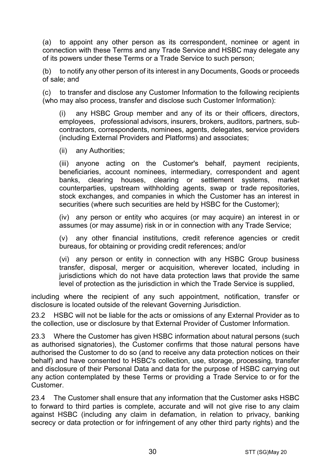<span id="page-29-0"></span>(a) to appoint any other person as its correspondent, nominee or agent in connection with these Terms and any Trade Service and HSBC may delegate any of its powers under these Terms or a Trade Service to such person;

(b) to notify any other person of its interest in any Documents, Goods or proceeds of sale; and

(c) to transfer and disclose any Customer Information to the following recipients (who may also process, transfer and disclose such Customer Information):

(i) any HSBC Group member and any of its or their officers, directors, employees, professional advisors, insurers, brokers, auditors, partners, subcontractors, correspondents, nominees, agents, delegates, service providers (including External Providers and Platforms) and associates;

(ii) any Authorities;

(iii) anyone acting on the Customer's behalf, payment recipients, beneficiaries, account nominees, intermediary, correspondent and agent banks, clearing houses, clearing or settlement systems, market counterparties, upstream withholding agents, swap or trade repositories, stock exchanges, and companies in which the Customer has an interest in securities (where such securities are held by HSBC for the Customer);

(iv) any person or entity who acquires (or may acquire) an interest in or assumes (or may assume) risk in or in connection with any Trade Service;

(v) any other financial institutions, credit reference agencies or credit bureaus, for obtaining or providing credit references; and/or

(vi) any person or entity in connection with any HSBC Group business transfer, disposal, merger or acquisition, wherever located, including in jurisdictions which do not have data protection laws that provide the same level of protection as the jurisdiction in which the Trade Service is supplied,

including where the recipient of any such appointment, notification, transfer or disclosure is located outside of the relevant Governing Jurisdiction.

23.2 HSBC will not be liable for the acts or omissions of any External Provider as to the collection, use or disclosure by that External Provider of Customer Information.

23.3 Where the Customer has given HSBC information about natural persons (such as authorised signatories), the Customer confirms that those natural persons have authorised the Customer to do so (and to receive any data protection notices on their behalf) and have consented to HSBC's collection, use, storage, processing, transfer and disclosure of their Personal Data and data for the purpose of HSBC carrying out any action contemplated by these Terms or providing a Trade Service to or for the Customer.

23.4 The Customer shall ensure that any information that the Customer asks HSBC to forward to third parties is complete, accurate and will not give rise to any claim against HSBC (including any claim in defamation, in relation to privacy, banking secrecy or data protection or for infringement of any other third party rights) and the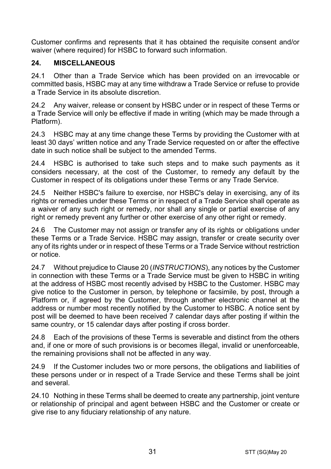Customer confirms and represents that it has obtained the requisite consent and/or waiver (where required) for HSBC to forward such information.

## **24. MISCELLANEOUS**

24.1 Other than a Trade Service which has been provided on an irrevocable or committed basis, HSBC may at any time withdraw a Trade Service or refuse to provide a Trade Service in its absolute discretion.

24.2 Any waiver, release or consent by HSBC under or in respect of these Terms or a Trade Service will only be effective if made in writing (which may be made through a Platform).

24.3 HSBC may at any time change these Terms by providing the Customer with at least 30 days' written notice and any Trade Service requested on or after the effective date in such notice shall be subject to the amended Terms.

24.4 HSBC is authorised to take such steps and to make such payments as it considers necessary, at the cost of the Customer, to remedy any default by the Customer in respect of its obligations under these Terms or any Trade Service.

24.5 Neither HSBC's failure to exercise, nor HSBC's delay in exercising, any of its rights or remedies under these Terms or in respect of a Trade Service shall operate as a waiver of any such right or remedy, nor shall any single or partial exercise of any right or remedy prevent any further or other exercise of any other right or remedy.

24.6 The Customer may not assign or transfer any of its rights or obligations under these Terms or a Trade Service. HSBC may assign, transfer or create security over any of its rights under or in respect of these Terms or a Trade Service without restriction or notice.

24.7 Without prejudice to Claus[e 20](#page-24-0) (*[INSTRUCTIONS](#page-24-0)*), any notices by the Customer in connection with these Terms or a Trade Service must be given to HSBC in writing at the address of HSBC most recently advised by HSBC to the Customer. HSBC may give notice to the Customer in person, by telephone or facsimile, by post, through a Platform or, if agreed by the Customer, through another electronic channel at the address or number most recently notified by the Customer to HSBC. A notice sent by post will be deemed to have been received 7 calendar days after posting if within the same country, or 15 calendar days after posting if cross border.

24.8 Each of the provisions of these Terms is severable and distinct from the others and, if one or more of such provisions is or becomes illegal, invalid or unenforceable, the remaining provisions shall not be affected in any way.

24.9 If the Customer includes two or more persons, the obligations and liabilities of these persons under or in respect of a Trade Service and these Terms shall be joint and several.

24.10 Nothing in these Terms shall be deemed to create any partnership, joint venture or relationship of principal and agent between HSBC and the Customer or create or give rise to any fiduciary relationship of any nature.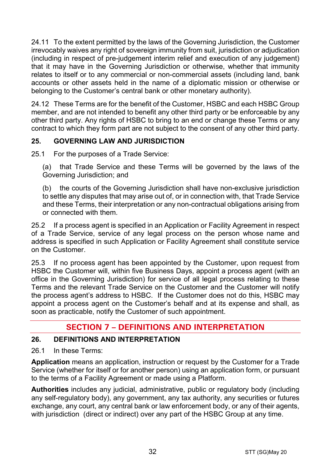24.11 To the extent permitted by the laws of the Governing Jurisdiction, the Customer irrevocably waives any right of sovereign immunity from suit, jurisdiction or adjudication (including in respect of pre-judgement interim relief and execution of any judgement) that it may have in the Governing Jurisdiction or otherwise, whether that immunity relates to itself or to any commercial or non-commercial assets (including land, bank accounts or other assets held in the name of a diplomatic mission or otherwise or belonging to the Customer's central bank or other monetary authority).

24.12 These Terms are for the benefit of the Customer, HSBC and each HSBC Group member, and are not intended to benefit any other third party or be enforceable by any other third party. Any rights of HSBC to bring to an end or change these Terms or any contract to which they form part are not subject to the consent of any other third party.

# **25. GOVERNING LAW AND JURISDICTION**

25.1 For the purposes of a Trade Service:

(a) that Trade Service and these Terms will be governed by the laws of the Governing Jurisdiction; and

(b) the courts of the Governing Jurisdiction shall have non-exclusive jurisdiction to settle any disputes that may arise out of, or in connection with, that Trade Service and these Terms, their interpretation or any non-contractual obligations arising from or connected with them.

25.2 If a process agent is specified in an Application or Facility Agreement in respect of a Trade Service, service of any legal process on the person whose name and address is specified in such Application or Facility Agreement shall constitute service on the Customer.

25.3 If no process agent has been appointed by the Customer, upon request from HSBC the Customer will, within five Business Days, appoint a process agent (with an office in the Governing Jurisdiction) for service of all legal process relating to these Terms and the relevant Trade Service on the Customer and the Customer will notify the process agent's address to HSBC. If the Customer does not do this, HSBC may appoint a process agent on the Customer's behalf and at its expense and shall, as soon as practicable, notify the Customer of such appointment.

# **SECTION 7 – DEFINITIONS AND INTERPRETATION**

## **26. DEFINITIONS AND INTERPRETATION**

26.1 In these Terms:

**Application** means an application, instruction or request by the Customer for a Trade Service (whether for itself or for another person) using an application form, or pursuant to the terms of a Facility Agreement or made using a Platform.

**Authorities** includes any judicial, administrative, public or regulatory body (including any self-regulatory body), any government, any tax authority, any securities or futures exchange, any court, any central bank or law enforcement body, or any of their agents, with jurisdiction (direct or indirect) over any part of the HSBC Group at any time.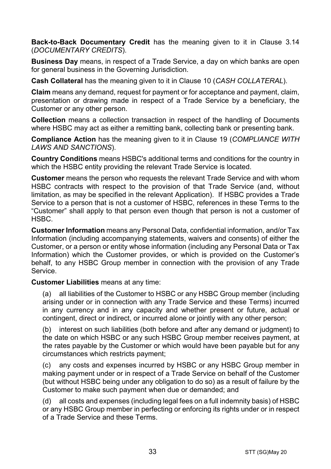**Back-to-Back Documentary Credit** has the meaning given to it in Clause [3.14](#page-5-0) (*[DOCUMENTARY CREDITS](#page-3-0)*).

**Business Day** means, in respect of a Trade Service, a day on which banks are open for general business in the Governing Jurisdiction.

**Cash Collateral** has the meaning given to it in Clause [10](#page-14-1) (*[CASH COLLATERAL](#page-14-1)*).

**Claim** means any demand, request for payment or for acceptance and payment, claim, presentation or drawing made in respect of a Trade Service by a beneficiary, the Customer or any other person.

**Collection** means a collection transaction in respect of the handling of Documents where HSBC may act as either a remitting bank, collecting bank or presenting bank.

**Compliance Action** has the meaning given to it in Clause [19](#page-22-0) (*[COMPLIANCE WITH](#page-22-0)  [LAWS AND SANCTIONS](#page-22-0)*).

**Country Conditions** means HSBC's additional terms and conditions for the country in which the HSBC entity providing the relevant Trade Service is located.

**Customer** means the person who requests the relevant Trade Service and with whom HSBC contracts with respect to the provision of that Trade Service (and, without limitation, as may be specified in the relevant Application). If HSBC provides a Trade Service to a person that is not a customer of HSBC, references in these Terms to the "Customer" shall apply to that person even though that person is not a customer of HSBC.

**Customer Information** means any Personal Data, confidential information, and/or Tax Information (including accompanying statements, waivers and consents) of either the Customer, or a person or entity whose information (including any Personal Data or Tax Information) which the Customer provides, or which is provided on the Customer's behalf, to any HSBC Group member in connection with the provision of any Trade Service.

**Customer Liabilities** means at any time:

(a) all liabilities of the Customer to HSBC or any HSBC Group member (including arising under or in connection with any Trade Service and these Terms) incurred in any currency and in any capacity and whether present or future, actual or contingent, direct or indirect, or incurred alone or jointly with any other person;

(b) interest on such liabilities (both before and after any demand or judgment) to the date on which HSBC or any such HSBC Group member receives payment, at the rates payable by the Customer or which would have been payable but for any circumstances which restricts payment;

(c) any costs and expenses incurred by HSBC or any HSBC Group member in making payment under or in respect of a Trade Service on behalf of the Customer (but without HSBC being under any obligation to do so) as a result of failure by the Customer to make such payment when due or demanded; and

(d) all costs and expenses (including legal fees on a full indemnity basis) of HSBC or any HSBC Group member in perfecting or enforcing its rights under or in respect of a Trade Service and these Terms.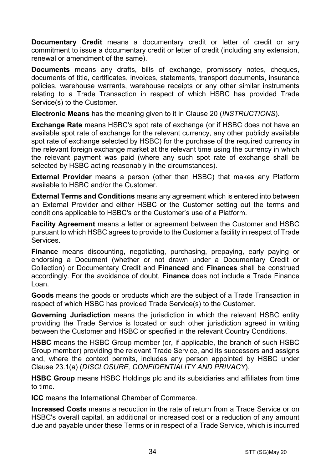**Documentary Credit** means a documentary credit or letter of credit or any commitment to issue a documentary credit or letter of credit (including any extension. renewal or amendment of the same).

**Documents** means any drafts, bills of exchange, promissory notes, cheques, documents of title, certificates, invoices, statements, transport documents, insurance policies, warehouse warrants, warehouse receipts or any other similar instruments relating to a Trade Transaction in respect of which HSBC has provided Trade Service(s) to the Customer.

**Electronic Means** has the meaning given to it in Clause [20](#page-24-0) (*[INSTRUCTIONS](#page-24-0)*).

**Exchange Rate** means HSBC's spot rate of exchange (or if HSBC does not have an available spot rate of exchange for the relevant currency, any other publicly available spot rate of exchange selected by HSBC) for the purchase of the required currency in the relevant foreign exchange market at the relevant time using the currency in which the relevant payment was paid (where any such spot rate of exchange shall be selected by HSBC acting reasonably in the circumstances).

**External Provider** means a person (other than HSBC) that makes any Platform available to HSBC and/or the Customer.

**External Terms and Conditions** means any agreement which is entered into between an External Provider and either HSBC or the Customer setting out the terms and conditions applicable to HSBC's or the Customer's use of a Platform.

**Facility Agreement** means a letter or agreement between the Customer and HSBC pursuant to which HSBC agrees to provide to the Customer a facility in respect of Trade Services.

**Finance** means discounting, negotiating, purchasing, prepaying, early paying or endorsing a Document (whether or not drawn under a Documentary Credit or Collection) or Documentary Credit and **Financed** and **Finances** shall be construed accordingly. For the avoidance of doubt, **Finance** does not include a Trade Finance Loan.

**Goods** means the goods or products which are the subject of a Trade Transaction in respect of which HSBC has provided Trade Service(s) to the Customer.

**Governing Jurisdiction** means the jurisdiction in which the relevant HSBC entity providing the Trade Service is located or such other jurisdiction agreed in writing between the Customer and HSBC or specified in the relevant Country Conditions.

**HSBC** means the HSBC Group member (or, if applicable, the branch of such HSBC Group member) providing the relevant Trade Service, and its successors and assigns and, where the context permits, includes any person appointed by HSBC under Clause [23.1\(a\)](#page-29-0) (*[DISCLOSURE, CONFIDENTIALITY AND PRIVACY](#page-28-0)*).

**HSBC Group** means HSBC Holdings plc and its subsidiaries and affiliates from time to time.

**ICC** means the International Chamber of Commerce.

**Increased Costs** means a reduction in the rate of return from a Trade Service or on HSBC's overall capital, an additional or increased cost or a reduction of any amount due and payable under these Terms or in respect of a Trade Service, which is incurred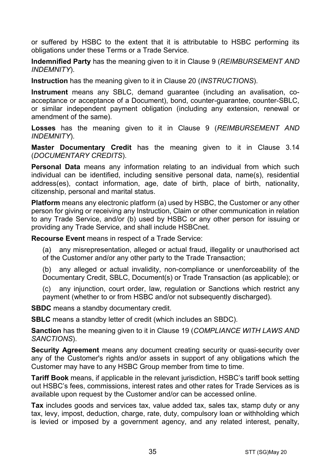or suffered by HSBC to the extent that it is attributable to HSBC performing its obligations under these Terms or a Trade Service.

**Indemnified Party** has the meaning given to it in Claus[e 9](#page-13-0) (*[REIMBURSEMENT AND](#page-13-0)  [INDEMNITY](#page-13-0)*).

**Instruction** has the meaning given to it in Clause [20](#page-24-0) (*[INSTRUCTIONS](#page-24-0)*).

**Instrument** means any SBLC, demand guarantee (including an avalisation, coacceptance or acceptance of a Document), bond, counter-guarantee, counter-SBLC, or similar independent payment obligation (including any extension, renewal or amendment of the same).

**Losses** has the meaning given to it in Clause [9](#page-13-0) (*[REIMBURSEMENT AND](#page-13-0)  [INDEMNITY](#page-13-0)*).

**Master Documentary Credit** has the meaning given to it in Clause [3.14](#page-5-0) (*[DOCUMENTARY CREDITS](#page-3-0)*).

**Personal Data** means any information relating to an individual from which such individual can be identified, including sensitive personal data, name(s), residential address(es), contact information, age, date of birth, place of birth, nationality, citizenship, personal and marital status.

**Platform** means any electronic platform (a) used by HSBC, the Customer or any other person for giving or receiving any Instruction, Claim or other communication in relation to any Trade Service, and/or (b) used by HSBC or any other person for issuing or providing any Trade Service, and shall include HSBCnet.

**Recourse Event** means in respect of a Trade Service:

(a) any misrepresentation, alleged or actual fraud, illegality or unauthorised act of the Customer and/or any other party to the Trade Transaction;

(b) any alleged or actual invalidity, non-compliance or unenforceability of the Documentary Credit, SBLC, Document(s) or Trade Transaction (as applicable); or

(c) any injunction, court order, law, regulation or Sanctions which restrict any payment (whether to or from HSBC and/or not subsequently discharged).

**SBDC** means a standby documentary credit.

**SBLC** means a standby letter of credit (which includes an SBDC).

**Sanction** has the meaning given to it in Clause [19](#page-22-0) (*[COMPLIANCE WITH LAWS AND](#page-22-0)  [SANCTIONS](#page-22-0)*).

**Security Agreement** means any document creating security or quasi-security over any of the Customer's rights and/or assets in support of any obligations which the Customer may have to any HSBC Group member from time to time.

**Tariff Book** means, if applicable in the relevant jurisdiction, HSBC's tariff book setting out HSBC's fees, commissions, interest rates and other rates for Trade Services as is available upon request by the Customer and/or can be accessed online.

**Tax** includes goods and services tax, value added tax, sales tax, stamp duty or any tax, levy, impost, deduction, charge, rate, duty, compulsory loan or withholding which is levied or imposed by a government agency, and any related interest, penalty,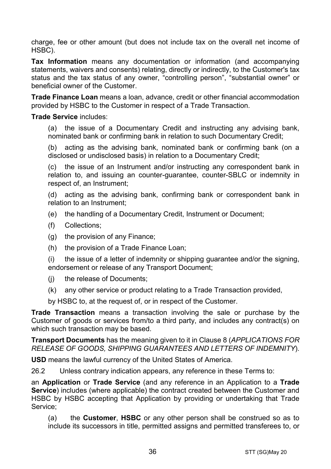charge, fee or other amount (but does not include tax on the overall net income of HSBC).

**Tax Information** means any documentation or information (and accompanying statements, waivers and consents) relating, directly or indirectly, to the Customer's tax status and the tax status of any owner, "controlling person", "substantial owner" or beneficial owner of the Customer.

**Trade Finance Loan** means a loan, advance, credit or other financial accommodation provided by HSBC to the Customer in respect of a Trade Transaction.

#### **Trade Service** includes:

(a) the issue of a Documentary Credit and instructing any advising bank, nominated bank or confirming bank in relation to such Documentary Credit;

(b) acting as the advising bank, nominated bank or confirming bank (on a disclosed or undisclosed basis) in relation to a Documentary Credit;

(c) the issue of an Instrument and/or instructing any correspondent bank in relation to, and issuing an counter-guarantee, counter-SBLC or indemnity in respect of, an Instrument;

(d) acting as the advising bank, confirming bank or correspondent bank in relation to an Instrument;

- (e) the handling of a Documentary Credit, Instrument or Document;
- (f) Collections;
- (g) the provision of any Finance;
- (h) the provision of a Trade Finance Loan;

(i) the issue of a letter of indemnity or shipping guarantee and/or the signing, endorsement or release of any Transport Document;

- (j) the release of Documents;
- (k) any other service or product relating to a Trade Transaction provided,

by HSBC to, at the request of, or in respect of the Customer.

**Trade Transaction** means a transaction involving the sale or purchase by the Customer of goods or services from/to a third party, and includes any contract(s) on which such transaction may be based.

**Transport Documents** has the meaning given to it in Clause [8](#page-12-0) (*[APPLICATIONS FOR](#page-12-0)  [RELEASE OF GOODS, SHIPPING GUARANTEES AND](#page-12-0) LETTERS OF INDEMNITY*).

**USD** means the lawful currency of the United States of America.

26.2 Unless contrary indication appears, any reference in these Terms to:

an **Application** or **Trade Service** (and any reference in an Application to a **Trade Service**) includes (where applicable) the contract created between the Customer and HSBC by HSBC accepting that Application by providing or undertaking that Trade Service;

(a) the **Customer**, **HSBC** or any other person shall be construed so as to include its successors in title, permitted assigns and permitted transferees to, or